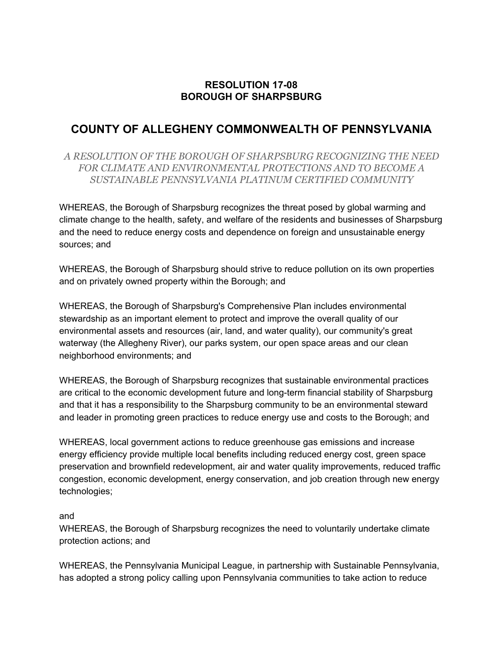## **RESOLUTION 17-08 BOROUGH OF SHARPSBURG**

## **COUNTY OF ALLEGHENY COMMONWEALTH OF PENNSYLVANIA**

*A RESOLUTION OF THE BOROUGH OF SHARPSBURG RECOGNIZING THE NEED FOR CLIMATE AND ENVIRONMENTAL PROTECTIONS AND TO BECOME A SUSTAINABLE PENNSYLVANIA PLATINUM CERTIFIED COMMUNITY*

WHEREAS, the Borough of Sharpsburg recognizes the threat posed by global warming and climate change to the health, safety, and welfare of the residents and businesses of Sharpsburg and the need to reduce energy costs and dependence on foreign and unsustainable energy sources; and

WHEREAS, the Borough of Sharpsburg should strive to reduce pollution on its own properties and on privately owned property within the Borough; and

WHEREAS, the Borough of Sharpsburg's Comprehensive Plan includes environmental stewardship as an important element to protect and improve the overall quality of our environmental assets and resources (air, land, and water quality), our community's great waterway (the Allegheny River), our parks system, our open space areas and our clean neighborhood environments; and

WHEREAS, the Borough of Sharpsburg recognizes that sustainable environmental practices are critical to the economic development future and long-term financial stability of Sharpsburg and that it has a responsibility to the Sharpsburg community to be an environmental steward and leader in promoting green practices to reduce energy use and costs to the Borough; and

WHEREAS, local government actions to reduce greenhouse gas emissions and increase energy efficiency provide multiple local benefits including reduced energy cost, green space preservation and brownfield redevelopment, air and water quality improvements, reduced traffic congestion, economic development, energy conservation, and job creation through new energy technologies;

## and

WHEREAS, the Borough of Sharpsburg recognizes the need to voluntarily undertake climate protection actions; and

WHEREAS, the Pennsylvania Municipal League, in partnership with Sustainable Pennsylvania, has adopted a strong policy calling upon Pennsylvania communities to take action to reduce